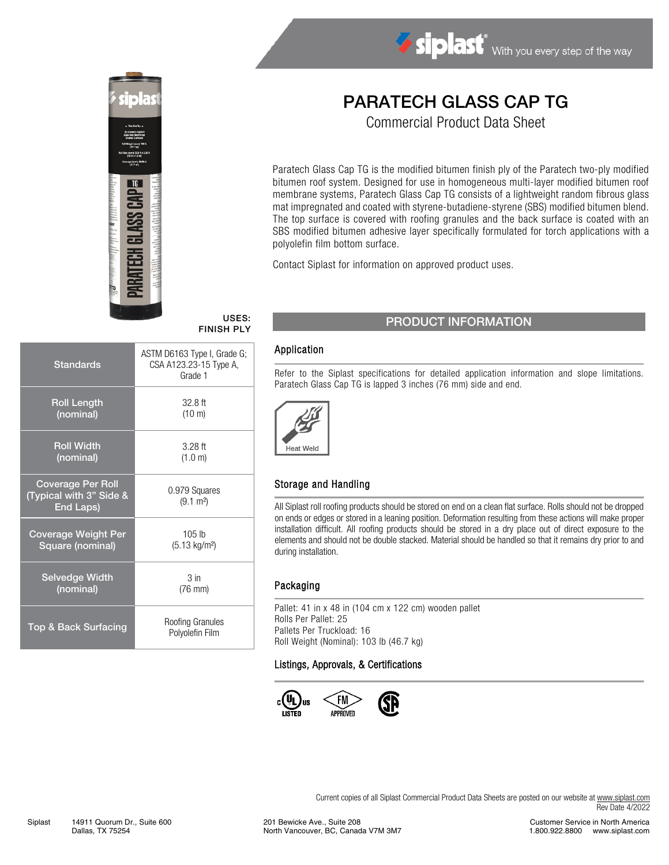

# Siplast With you every step of the way

# PARATECH GLASS CAP TG

Commercial Product Data Sheet

Paratech Glass Cap TG is the modified bitumen finish ply of the Paratech two-ply modified bitumen roof system. Designed for use in homogeneous multi-layer modified bitumen roof membrane systems, Paratech Glass Cap TG consists of a lightweight random fibrous glass mat impregnated and coated with styrene-butadiene-styrene (SBS) modified bitumen blend. The top surface is covered with roofing granules and the back surface is coated with an SBS modified bitumen adhesive layer specifically formulated for torch applications with a polyolefin film bottom surface.

Contact Siplast for information on approved product uses.

# FINISH PLY

| <b>Standards</b>                                                 | ASTM D6163 Type I, Grade G;<br>CSA A123.23-15 Type A,<br>Grade 1 |  |  |
|------------------------------------------------------------------|------------------------------------------------------------------|--|--|
| <b>Roll Length</b>                                               | $32.8$ ft                                                        |  |  |
| (nominal)                                                        | $(10 \text{ m})$                                                 |  |  |
| <b>Roll Width</b>                                                | $3.28$ ft                                                        |  |  |
| (nominal)                                                        | (1.0 m)                                                          |  |  |
| <b>Coverage Per Roll</b><br>(Typical with 3" Side &<br>End Laps) | 0.979 Squares<br>$(9.1 \text{ m}^2)$                             |  |  |
| <b>Coverage Weight Per</b>                                       | 105 <sub>h</sub>                                                 |  |  |
| Square (nominal)                                                 | $(5.13 \text{ kg/m}^2)$                                          |  |  |
| <b>Selvedge Width</b>                                            | 3 <sub>in</sub>                                                  |  |  |
| (nominal)                                                        | $(76 \text{ mm})$                                                |  |  |
| Top & Back Surfacing                                             | Roofing Granules<br>Polyolefin Film                              |  |  |

## USES: PRODUCT INFORMATION

#### Application

Refer to the Siplast specifications for detailed application information and slope limitations. Paratech Glass Cap TG is lapped 3 inches (76 mm) side and end.



#### Storage and Handling

All Siplast roll roofing products should be stored on end on a clean flat surface. Rolls should not be dropped on ends or edges or stored in a leaning position. Deformation resulting from these actions will make proper installation difficult. All roofing products should be stored in a dry place out of direct exposure to the elements and should not be double stacked. Material should be handled so that it remains dry prior to and during installation.

#### Packaging

Pallet: 41 in x 48 in (104 cm x 122 cm) wooden pallet Rolls Per Pallet: 25 Pallets Per Truckload: 16 Roll Weight (Nominal): 103 lb (46.7 kg)

#### Listings, Approvals, & Certifications



Current copies of all Siplast Commercial Product Data Sheets are posted on our website at [www.siplast.com](http://www.siplast.com/) Rev Date 4/2022